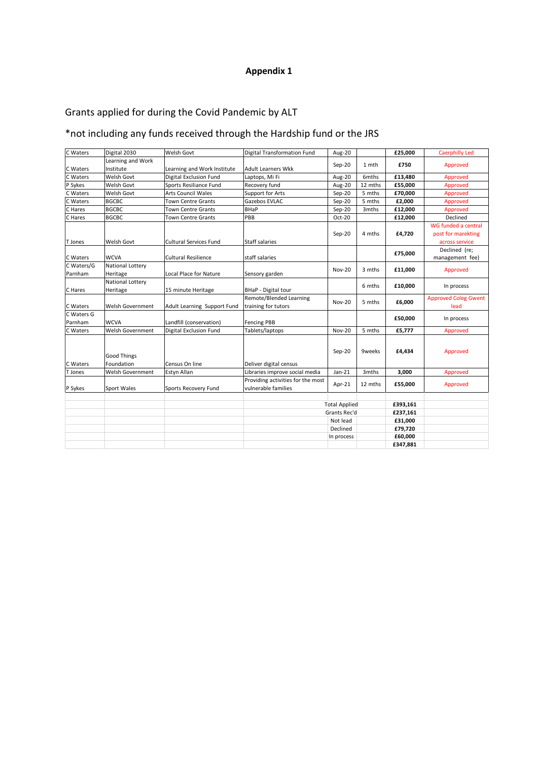## **Appendix 1**

## Grants applied for during the Covid Pandemic by ALT

## \*not including any funds received through the Hardship fund or the JRS

| C Waters   | Digital 2030            | Welsh Govt                    | Digital Transformation Fund       | Aug-20               |         | £25,000  | <b>Caerphilly Led</b>       |  |
|------------|-------------------------|-------------------------------|-----------------------------------|----------------------|---------|----------|-----------------------------|--|
|            | Learning and Work       |                               |                                   | $Sep-20$             | 1 mth   | £750     | Approved                    |  |
| C Waters   | Institute               | Learning and Work Institute   | <b>Adult Learners Wkk</b>         |                      |         |          |                             |  |
| C Waters   | Welsh Govt              | <b>Digital Exclusion Fund</b> | Laptops, Mi Fi                    | Aug-20               | 6mths   | £13,480  | Approved                    |  |
| P Sykes    | Welsh Govt              | Sports Resiliance Fund        | Recovery fund                     | Aug-20               | 12 mths | £55,000  | Approved                    |  |
| C Waters   | Welsh Govt              | <b>Arts Council Wales</b>     | Support for Arts                  | $Sep-20$             | 5 mths  | £70,000  | Approved                    |  |
| C Waters   | <b>BGCBC</b>            | <b>Town Centre Grants</b>     | Gazebos EVLAC                     | Sep-20               | 5 mths  | £2,000   | Approved                    |  |
| C Hares    | <b>BGCBC</b>            | <b>Town Centre Grants</b>     | <b>BHaP</b>                       | $Sep-20$             | 3mths   | £12,000  | Approved                    |  |
| C Hares    | <b>BGCBC</b>            | <b>Town Centre Grants</b>     | PBB                               | Oct-20               |         | £12,000  | Declined                    |  |
|            |                         |                               |                                   |                      |         |          | WG funded a central         |  |
| T Jones    |                         |                               |                                   | Sep-20               | 4 mths  | £4,720   | post for marekting          |  |
|            | Welsh Govt              | <b>Cultural Services Fund</b> | <b>Staff salaries</b>             |                      |         |          | across service              |  |
|            |                         |                               |                                   |                      |         |          | Declined (re;               |  |
| C Waters   | <b>WCVA</b>             | <b>Cultural Resilience</b>    | staff salaries                    |                      |         | £75,000  | management fee)             |  |
| C Waters/G | National Lottery        |                               |                                   |                      |         |          |                             |  |
| Parnham    | Heritage                | Local Place for Nature        | Sensory garden                    | <b>Nov-20</b>        | 3 mths  | £11,000  | Approved                    |  |
|            | <b>National Lottery</b> |                               |                                   |                      |         |          |                             |  |
| C Hares    | Heritage                | 15 minute Heritage            | <b>BHaP</b> - Digital tour        |                      | 6 mths  | £10,000  | In process                  |  |
|            |                         |                               | Remote/Blended Learning           | <b>Nov-20</b>        | 5 mths  | £6,000   | <b>Approved Coleg Gwent</b> |  |
| C Waters   | Welsh Government        | Adult Learning Support Fund   | training for tutors               |                      |         |          | lead                        |  |
| C Waters G |                         |                               |                                   |                      |         | £50,000  |                             |  |
| Parnham    | <b>WCVA</b>             | Landfill (conservation)       | <b>Fencing PBB</b>                |                      |         |          | In process                  |  |
| C Waters   | Welsh Government        | Digital Exclusion Fund        | Tablets/laptops                   | <b>Nov-20</b>        | 5 mths  | £5,777   | Approved                    |  |
|            |                         |                               |                                   |                      |         |          |                             |  |
|            |                         |                               |                                   | Sep-20               | 9weeks  | £4,434   | Approved                    |  |
|            | Good Things             |                               |                                   |                      |         |          |                             |  |
| C Waters   | Foundation              | Census On line                | Deliver digital census            |                      |         |          |                             |  |
| T Jones    | Welsh Government        | <b>Estyn Allan</b>            | Libraries improve social media    | $Jan-21$             | 3mths   | 3,000    | Approved                    |  |
|            |                         |                               | Providing activities for the most | Apr-21               | 12 mths | £55,000  | Approved                    |  |
| P Sykes    | Sport Wales             | Sports Recovery Fund          | vulnerable families               |                      |         |          |                             |  |
|            |                         |                               |                                   | <b>Total Applied</b> |         |          |                             |  |
|            |                         |                               |                                   | £393,161             |         |          |                             |  |
|            |                         |                               | Grants Rec'd                      | £237,161             |         |          |                             |  |
|            |                         |                               |                                   | £31,000              |         |          |                             |  |
|            |                         |                               |                                   | Declined             |         | £79,720  |                             |  |
|            |                         |                               |                                   | In process           |         | £60,000  |                             |  |
|            |                         |                               |                                   |                      |         | £347,881 |                             |  |